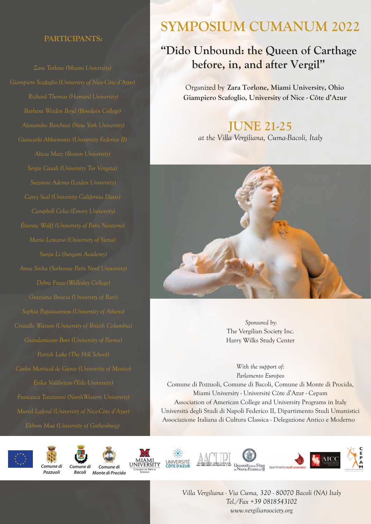### **PARTICIPANTS:**

*Richard Thomas (Harvard University) Barbara Weiden Boyd (Bowdoin College) Alicia Matz (Boston University) Suzanne Adema (Leiden University) Graziana Brescia (University of Bari) Patrick Lake (The Hill School) Muriel Lafond (University of Nice-Côte d'Azur)*

# **SYMPOSIUM CUMANUM 2022**

## **"Dido Unbound: the Queen of Carthage before, in, and after Vergil"**

Organized by **Zara Torlone, Miami University, Ohio Giampiero Scafoglio, University of Nice - Côte d'Azur**

### **JUNE 21-25**

*at the Villa Vergiliana, Cuma-Bacoli, Italy*



 *Sponsored by:* The Vergilian Society Inc. Harry Wilks Study Center

*With the support of: Parlamento Europeo* Comune di Pozzuoli, Comune di Bacoli, Comune di Monte di Procida, Miami University - Université Côte d'Azur - Cepam Association of American College and University Programs in Italy Università degli Studi di Napoli Federico II, Dipartimento Studi Umanistici Associazione Italiana di Cultura Classica - Delegazione Antico e Moderno



















*Villa Vergiliana - Via Cuma, 320 - 80070 Bacoli (NA) Italy Tel./Fax +39 0818543102 www.vergiliansociety.org*

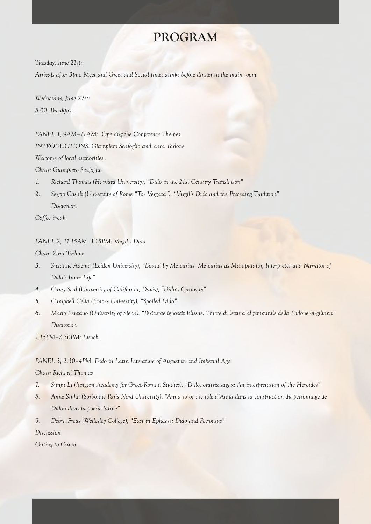### **PROGRAM**

*Tuesday, June 21st:* 

*Arrivals after 3pm. Meet and Greet and Social time: drinks before dinner in the main room.*

*Wednesday, June 22st: 8.00: Breakfast*

*PANEL 1, 9AM–11AM: Opening the Conference Themes INTRODUCTIONS: Giampiero Scafoglio and Zara Torlone Welcome of local authorities .*

*Chair: Giampiero Scafoglio*

- *1. Richard Thomas (Harvard University), "Dido in the 21st Century Translation"*
- *2. Sergio Casali (University of Rome "Tor Vergata"), "Virgil's Dido and the Preceding Tradition" Discussion*

*Coffee break*

#### *PANEL 2, 11.15AM–1.15PM: Vergil's Dido*

*Chair: Zara Torlone*

- *3. Suzanne Adema (Leiden University), "Bound by Mercurius: Mercurius as Manipulator, Interpreter and Narrator of Dido's Inner Life"*
- *4. Carey Seal (University of California, Davis), "Dido's Curiosity"*
- *5. Campbell Celia (Emory University), "Spoiled Dido"*
- *6. Mario Lentano (University of Siena), "Periturae ignoscit Elissae. Tracce di lettura al femminile della Didone virgiliana" Discussion*

*1.15PM–2.30PM: Lunch*

#### *PANEL 3, 2.30–4PM: Dido in Latin Literature of Augustan and Imperial Age*

#### *Chair: Richard Thomas*

- *7. Sunju Li (Jungam Academy for Greco-Roman Studies), "Dido, oratrix sagax: An interpretation of the Heroides"*
- *8. Anne Sinha (Sorbonne Paris Nord University), "Anna soror : le rôle d'Anna dans la construction du personnage de Didon dans la poésie latine"*
- *9. Debra Freas (Wellesley College), "East in Ephesus: Dido and Petronius"*

*Discussion*

*Outing to Cuma*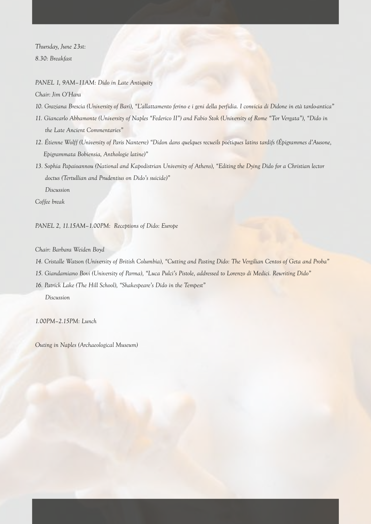*Thursday, June 23st: 8.30: Breakfast*

*PANEL 1, 9AM–11AM: Dido in Late Antiquity*

*Chair: Jim O'Hara*

- *10. Graziana Brescia (University of Bari), "L'allattamento ferino e i geni della perfidia. I convicia di Didone in età tardo-antica"*
- *11. Giancarlo Abbamonte (University of Naples "Federico II") and Fabio Stok (University of Rome "Tor Vergata"), "Dido in the Late Ancient Commentaries"*
- *12. Étienne Wolff (University of Paris Nanterre) "Didon dans quelques recueils poétiques latins tardifs (Épigrammes d'Ausone, Epigrammata Bobiensia, Anthologie latine)"*
- *13. Sophia Papaioannou (National and Kapodistrian University of Athens), "Editing the Dying Dido for a Christian lector doctus (Tertullian and Prudentius on Dido's suicide)" Discussion*

*Coffee break*

*PANEL 2, 11.15AM–1.00PM: Receptions of Dido: Europe*

*Chair: Barbara Weiden Boyd*

*14. Cristalle Watson (University of British Columbia), "Cutting and Pasting Dido: The Vergilian Centos of Geta and Proba"*

*15. Giandamiano Bovi (University of Parma), "Luca Pulci's Pistole, addressed to Lorenzo di Medici. Rewriting Dido"*

*16. Patrick Lake (The Hill School), "Shakespeare's Dido in the Tempest"* 

 *Discussion*

*1.00PM–2.15PM: Lunch*

*Outing in Naples (Archaeological Museum)*